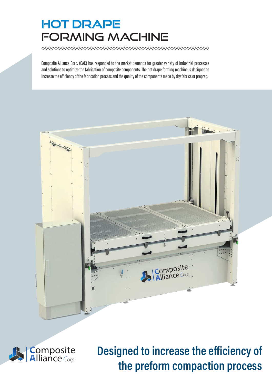# HOT DRAPE FORMING MACHINE

Composite Alliance Corp. (CAC) has responded to the market demands for greater variety of industrial processes and solutions to optimize the fabrication of composite components. The hot drape forming machine is designed to increase the efficiency of the fabrication process and the quality of the components made by dry fabrics or prepreg.





Designed to increase the efficiency of the preform compaction process